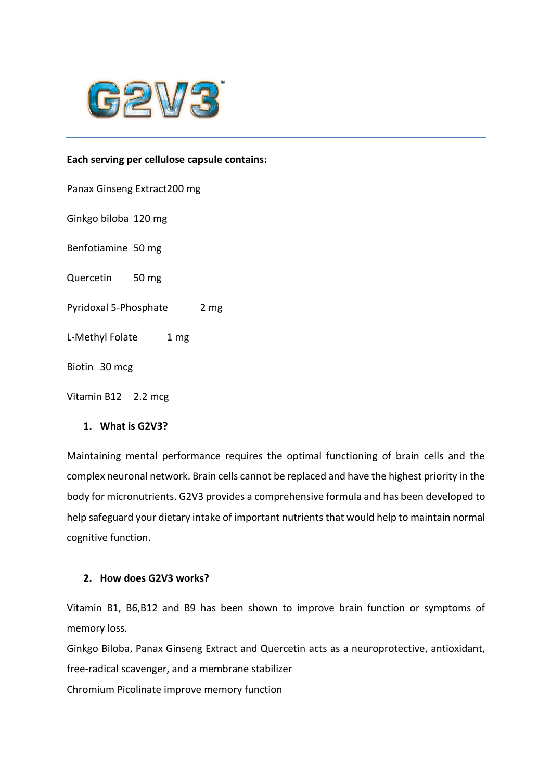

### **Each serving per cellulose capsule contains:**

Panax Ginseng Extract200 mg

Ginkgo biloba 120 mg

Benfotiamine 50 mg

Quercetin 50 mg

Pyridoxal 5-Phosphate 2 mg

L-Methyl Folate 1 mg

Biotin 30 mcg

Vitamin B12 2.2 mcg

### **1. What is G2V3?**

Maintaining mental performance requires the optimal functioning of brain cells and the complex neuronal network. Brain cells cannot be replaced and have the highest priority in the body for micronutrients. G2V3 provides a comprehensive formula and has been developed to help safeguard your dietary intake of important nutrients that would help to maintain normal cognitive function.

### **2. How does G2V3 works?**

Vitamin B1, B6,B12 and B9 has been shown to improve brain function or symptoms of memory loss.

Ginkgo Biloba, Panax Ginseng Extract and Quercetin acts as a neuroprotective, antioxidant, free-radical scavenger, and a membrane stabilizer

Chromium Picolinate improve memory function